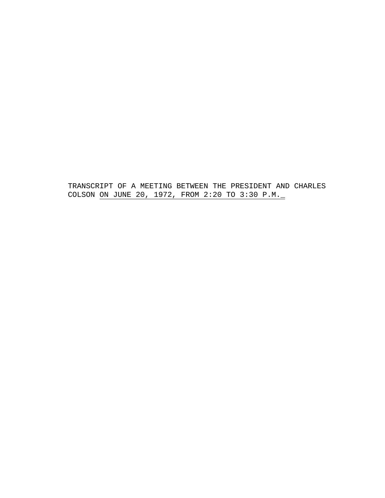TRANSCRIPT OF A MEETING BETWEEN THE PRESIDENT AND CHARLES COLSON ON JUNE 20, 1972, FROM 2:20 TO 3:30 P.M.\_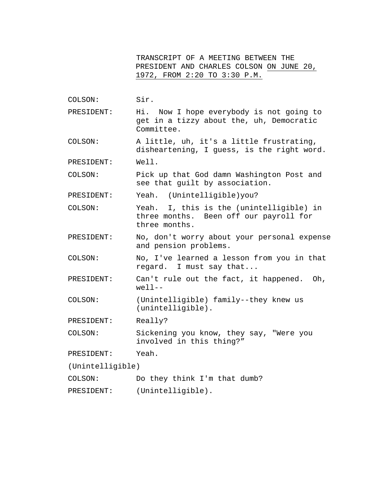TRANSCRIPT OF A MEETING BETWEEN THE PRESIDENT AND CHARLES COLSON ON JUNE 20, 1972, FROM 2:20 TO 3:30 P.M.

- COLSON: Sir.
- PRESIDENT: Hi. Now I hope everybody is not going to get in a tizzy about the, uh, Democratic Committee.
- COLSON: A little, uh, it's a little frustrating, disheartening, I guess, is the right word.
- PRESIDENT: Well.
- COLSON: Pick up that God damn Washington Post and see that guilt by association.

PRESIDENT: Yeah. (Unintelligible)you?

COLSON: Yeah. I, this is the (unintelligible) in three months. Been off our payroll for three months.

PRESIDENT: No, don't worry about your personal expense and pension problems.

COLSON: No, I've learned a lesson from you in that regard. I must say that...

- PRESIDENT: Can't rule out the fact, it happened. Oh, well--
- COLSON: (Unintelligible) family--they knew us (unintelligible).

PRESIDENT: Really?

- COLSON: Sickening you know, they say, "Were you involved in this thing?"
- PRESIDENT: Yeah.

(Unintelligible)

| COLSON:                                                                                                |                         |  | Do they think I'm that dumb? |  |  |  |
|--------------------------------------------------------------------------------------------------------|-------------------------|--|------------------------------|--|--|--|
| $\mathsf{n}\mathsf{n}\mathsf{n}\mathsf{n}\mathsf{n}\mathsf{n}\mathsf{n}\mathsf{n}\mathsf{n}\mathsf{n}$ | $(11m + n + n11 + n11)$ |  |                              |  |  |  |

PRESIDENT: (Unintelligible).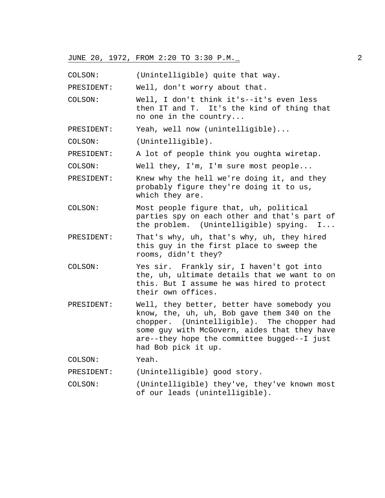COLSON: (Unintelligible) quite that way.

PRESIDENT: Well, don't worry about that.

COLSON: Well, I don't think it's--it's even less then IT and T. It's the kind of thing that no one in the country...

PRESIDENT: Yeah, well now (unintelligible)...

COLSON: (Unintelligible).

PRESIDENT: A lot of people think you oughta wiretap.

COLSON: Well they, I'm, I'm sure most people...

PRESIDENT: Knew why the hell we're doing it, and they probably figure they're doing it to us, which they are.

- COLSON: Most people figure that, uh, political parties spy on each other and that's part of the problem. (Unintelligible) spying. I...
- PRESIDENT: That's why, uh, that's why, uh, they hired this guy in the first place to sweep the rooms, didn't they?
- COLSON: Yes sir. Frankly sir, I haven't got into the, uh, ultimate details that we want to on this. But I assume he was hired to protect their own offices.
- PRESIDENT: Well, they better, better have somebody you know, the, uh, uh, Bob gave them 340 on the chopper. (Unintelligible). The chopper had some guy with McGovern, aides that they have are--they hope the committee bugged--I just had Bob pick it up.

COLSON: Yeah.

PRESIDENT: (Unintelligible) good story.

COLSON: (Unintelligible) they've, they've known most of our leads (unintelligible).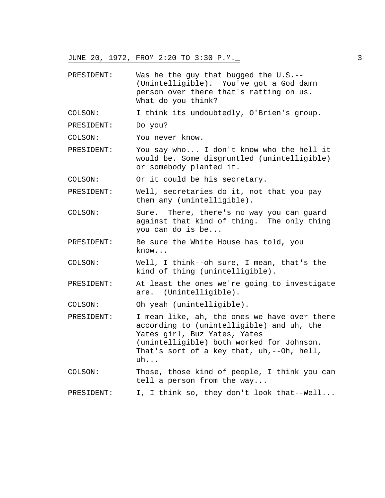PRESIDENT: Was he the guy that bugged the U.S.-- (Unintelligible). You've got a God damn person over there that's ratting on us. What do you think?

COLSON: I think its undoubtedly, O'Brien's group.

PRESIDENT: Do you?

COLSON: You never know.

PRESIDENT: You say who... I don't know who the hell it would be. Some disgruntled (unintelligible) or somebody planted it.

COLSON: Or it could be his secretary.

PRESIDENT: Well, secretaries do it, not that you pay them any (unintelligible).

- COLSON: Sure. There, there's no way you can guard against that kind of thing. The only thing you can do is be...
- PRESIDENT: Be sure the White House has told, you know...

COLSON: Well, I think--oh sure, I mean, that's the kind of thing (unintelligible).

PRESIDENT: At least the ones we're going to investigate are. (Unintelligible).

COLSON: Oh yeah (unintelligible).

- PRESIDENT: I mean like, ah, the ones we have over there according to (unintelligible) and uh, the Yates girl, Buz Yates, Yates (unintelligible) both worked for Johnson. That's sort of a key that, uh,--Oh, hell, uh...
- COLSON: Those, those kind of people, I think you can tell a person from the way...
- PRESIDENT: I, I think so, they don't look that--Well...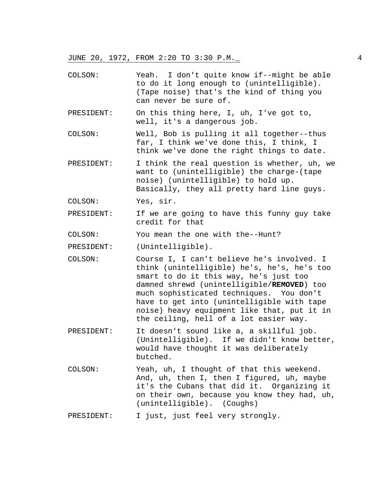- COLSON: Yeah. I don't quite know if--might be able to do it long enough to (unintelligible). (Tape noise) that's the kind of thing you can never be sure of. PRESIDENT: On this thing here, I, uh, I've got to, well, it's a dangerous job. COLSON: Well, Bob is pulling it all together--thus far, I think we've done this, I think, I think we've done the right things to date. PRESIDENT: I think the real question is whether, uh, we
- want to (unintelligible) the charge-(tape noise) (unintelligible) to hold up. Basically, they all pretty hard line guys.
- COLSON: Yes, sir.
- PRESIDENT: If we are going to have this funny guy take credit for that

COLSON: You mean the one with the--Hunt?

- PRESIDENT: (Unintelligible).
- COLSON: Course I, I can't believe he's involved. I think (unintelligible) he's, he's, he's too smart to do it this way, he's just too damned shrewd (unintelligible/**REMOVED**) too much sophisticated techniques. You don't have to get into (unintelligible with tape noise) heavy equipment like that, put it in the ceiling, hell of a lot easier way.
- PRESIDENT: It doesn't sound like a, a skillful job. (Unintelligible). If we didn't know better, would have thought it was deliberately butched.
- COLSON: Yeah, uh, I thought of that this weekend. And, uh, then I, then I figured, uh, maybe it's the Cubans that did it. Organizing it on their own, because you know they had, uh, (unintelligible). (Coughs)
- PRESIDENT: I just, just feel very strongly.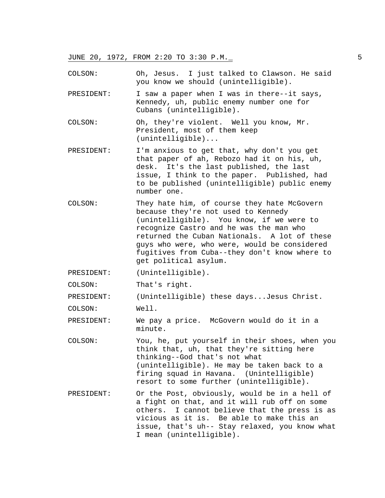COLSON: Oh, Jesus. I just talked to Clawson. He said you know we should (unintelligible).

PRESIDENT: I saw a paper when I was in there--it says, Kennedy, uh, public enemy number one for Cubans (unintelligible).

- COLSON: Oh, they're violent. Well you know, Mr. President, most of them keep (unintelligible)...
- PRESIDENT: I'm anxious to get that, why don't you get that paper of ah, Rebozo had it on his, uh, desk. It's the last published, the last issue, I think to the paper. Published, had to be published (unintelligible) public enemy number one.
- COLSON: They hate him, of course they hate McGovern because they're not used to Kennedy (unintelligible). You know, if we were to recognize Castro and he was the man who returned the Cuban Nationals. A lot of these guys who were, who were, would be considered fugitives from Cuba--they don't know where to get political asylum.

PRESIDENT: (Unintelligible).

COLSON: That's right.

PRESIDENT: (Unintelligible) these days...Jesus Christ.

COLSON: Well.

PRESIDENT: We pay a price. McGovern would do it in a minute.

COLSON: You, he, put yourself in their shoes, when you think that, uh, that they're sitting here thinking--God that's not what (unintelligible). He may be taken back to a firing squad in Havana. (Unintelligible) resort to some further (unintelligible).

PRESIDENT: Or the Post, obviously, would be in a hell of a fight on that, and it will rub off on some others. I cannot believe that the press is as vicious as it is. Be able to make this an issue, that's uh-- Stay relaxed, you know what I mean (unintelligible).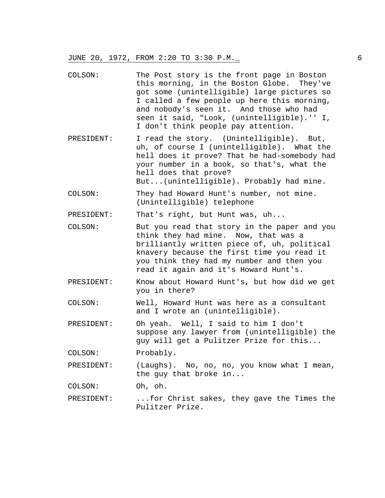- COLSON: The Post story is the front page in Boston this morning, in the Boston Globe. They've got some (unintelligible) large pictures so I called a few people up here this morning, and nobody's seen it. And those who had seen it said, "Look, (unintelligible).'' I, I don't think people pay attention.
- PRESIDENT: I read the story. (Unintelligible). But, uh, of course I (unintelligible). What the hell does it prove? That he had-somebody had your number in a book, so that's, what the hell does that prove? But...(unintelligible). Probably had mine.
- COLSON: They had Howard Hunt's number, not mine. (Unintelligible) telephone

PRESIDENT: That's right, but Hunt was, uh...

- COLSON: But you read that story in the paper and you think they had mine. Now, that was a brilliantly written piece of, uh, political knavery because the first time you read it you think they had my number and then you read it again and it's Howard Hunt's.
- PRESIDENT: Know about Howard Hunt's, but how did we get you in there?
- COLSON: Well, Howard Hunt was here as a consultant and I wrote an (unintelligible).
- PRESIDENT: Oh yeah. Well, I said to him I don't suppose any lawyer from (unintelligible) the guy will get a Pulitzer Prize for this...

COLSON: Probably.

PRESIDENT: (Laughs). No, no, no, you know what I mean, the guy that broke in...

COLSON: Oh, oh.

PRESIDENT: ...for Christ sakes, they gave the Times the Pulitzer Prize.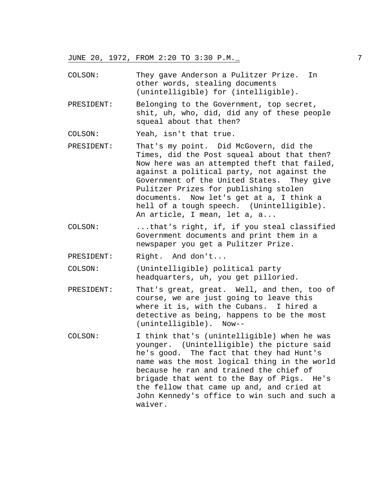- COLSON: They gave Anderson a Pulitzer Prize. In other words, stealing documents (unintelligible) for (intelligible).
- PRESIDENT: Belonging to the Government, top secret, shit, uh, who, did, did any of these people squeal about that then?

COLSON: Yeah, isn't that true.

- PRESIDENT: That's my point. Did McGovern, did the Times, did the Post squeal about that then? Now here was an attempted theft that failed, against a political party, not against the Government of the United States. They give Pulitzer Prizes for publishing stolen documents. Now let's get at a, I think a hell of a tough speech. (Unintelligible). An article, I mean, let a, a...
- COLSON: ...that's right, if, if you steal classified Government documents and print them in a newspaper you get a Pulitzer Prize.

PRESIDENT: Right. And don't...

COLSON: (Unintelligible) political party headquarters, uh, you get pilloried.

- PRESIDENT: That's great, great. Well, and then, too of course, we are just going to leave this where it is, with the Cubans. I hired a detective as being, happens to be the most (unintelligible). Now--
- COLSON: I think that's (unintelligible) when he was younger. (Unintelligible) the picture said he's good. The fact that they had Hunt's name was the most logical thing in the world because he ran and trained the chief of brigade that went to the Bay of Pigs. He's the fellow that came up and, and cried at John Kennedy's office to win such and such a waiver.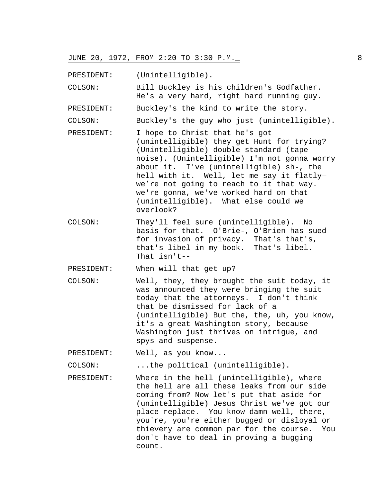PRESIDENT: (Unintelligible).

COLSON: Bill Buckley is his children's Godfather. He's a very hard, right hard running guy.

PRESIDENT: Buckley's the kind to write the story.

COLSON: Buckley's the guy who just (unintelligible).

- PRESIDENT: I hope to Christ that he's got (unintelligible) they get Hunt for trying? (Unintelligible) double standard (tape noise). (Unintelligible) I'm not gonna worry about it. I've (unintelligible) sh-, the hell with it. Well, let me say it flatly we're not going to reach to it that way. we're gonna, we've worked hard on that (unintelligible). What else could we overlook?
- COLSON: They'll feel sure (unintelligible). No basis for that. O'Brie-, O'Brien has sued for invasion of privacy. That's that's, that's libel in my book. That's libel. That isn't--

PRESIDENT: When will that get up?

COLSON: Well, they, they brought the suit today, it was announced they were bringing the suit today that the attorneys. I don't think that be dismissed for lack of a (unintelligible) But the, the, uh, you know, it's a great Washington story, because Washington just thrives on intrigue, and spys and suspense.

PRESIDENT: Well, as you know...

COLSON: ...the political (unintelligible).

PRESIDENT: Where in the hell (unintelligible), where the hell are all these leaks from our side coming from? Now let's put that aside for (unintelligible) Jesus Christ we've got our place replace. You know damn well, there, you're, you're either bugged or disloyal or thievery are common par for the course. You don't have to deal in proving a bugging count.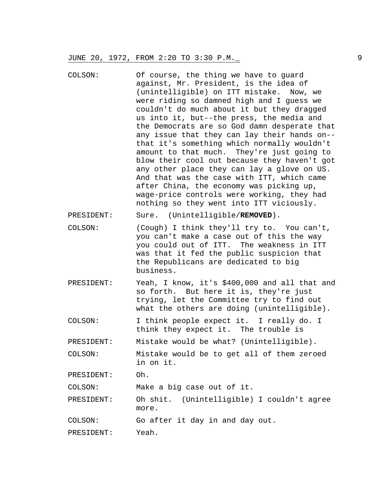COLSON: Of course, the thing we have to guard against, Mr. President, is the idea of (unintelligible) on ITT mistake. Now, we were riding so damned high and I guess we couldn't do much about it but they dragged us into it, but--the press, the media and the Democrats are so God damn desperate that any issue that they can lay their hands on- that it's something which normally wouldn't amount to that much. They're just going to blow their cool out because they haven't got any other place they can lay a glove on US. And that was the case with ITT, which came after China, the economy was picking up, wage-price controls were working, they had nothing so they went into ITT viciously.

PRESIDENT: Sure. (Unintelligible/**REMOVED**).

- COLSON: (Cough) I think they'll try to. You can't, you can't make a case out of this the way you could out of ITT. The weakness in ITT was that it fed the public suspicion that the Republicans are dedicated to big business.
- PRESIDENT: Yeah, I know, it's \$400,000 and all that and so forth. But here it is, they're just trying, let the Committee try to find out what the others are doing (unintelligible).
- COLSON: I think people expect it. I really do. I think they expect it. The trouble is

PRESIDENT: Mistake would be what? (Unintelligible).

COLSON: Mistake would be to get all of them zeroed in on it.

PRESIDENT: Oh.

COLSON: Make a big case out of it.

PRESIDENT: Oh shit. (Unintelligible) I couldn't agree more.

COLSON: Go after it day in and day out.

PRESIDENT: Yeah.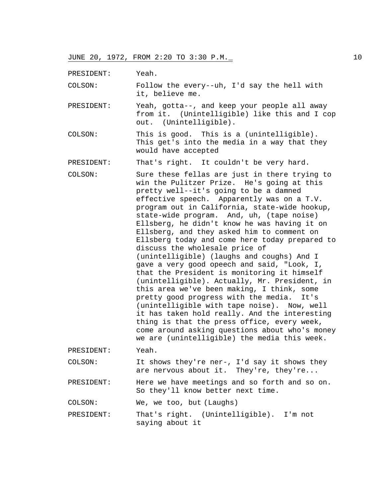PRESIDENT: Yeah.

COLSON: Follow the every--uh, I'd say the hell with it, believe me.

- PRESIDENT: Yeah, gotta--, and keep your people all away from it. (Unintelligible) like this and I cop out. (Unintelligible).
- COLSON: This is good. This is a (unintelligible). This get's into the media in a way that they would have accepted

PRESIDENT: That's right. It couldn't be very hard.

COLSON: Sure these fellas are just in there trying to win the Pulitzer Prize. He's going at this pretty well--it's going to be a damned effective speech. Apparently was on a T.V. program out in California, state-wide hookup, state-wide program. And, uh, (tape noise) Ellsberg, he didn't know he was having it on Ellsberg, and they asked him to comment on Ellsberg today and come here today prepared to discuss the wholesale price of (unintelligible) (laughs and coughs) And I gave a very good opeech and said, "Look, I, that the President is monitoring it himself (unintelligible). Actually, Mr. President, in this area we've been making, I think, some pretty good progress with the media. It's (unintelligible with tape noise). Now, well it has taken hold really. And the interesting thing is that the press office, every week, come around asking questions about who's money we are (unintelligible) the media this week.

PRESIDENT: Yeah.

COLSON: It shows they're ner-, I'd say it shows they are nervous about it. They're, they're...

PRESIDENT: Here we have meetings and so forth and so on. So they'll know better next time.

COLSON: We, we too, but (Laughs)

PRESIDENT: That's right. (Unintelligible). I'm not saying about it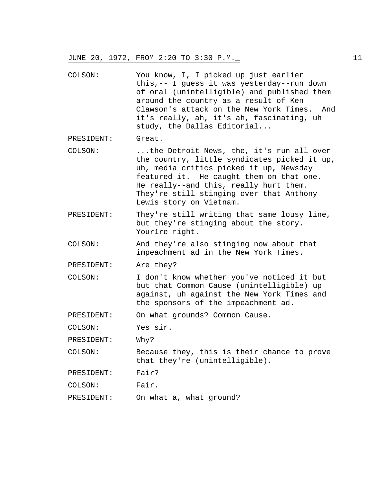COLSON: You know, I, I picked up just earlier this,-- I guess it was yesterday--run down of oral (unintelligible) and published them around the country as a result of Ken Clawson's attack on the New York Times. And it's really, ah, it's ah, fascinating, uh study, the Dallas Editorial...

PRESIDENT: Great.

- COLSON: ...the Detroit News, the, it's run all over the country, little syndicates picked it up, uh, media critics picked it up, Newsday featured it. He caught them on that one. He really--and this, really hurt them. They're still stinging over that Anthony Lewis story on Vietnam.
- PRESIDENT: They're still writing that same lousy line, but they're stinging about the story. Your1re right.
- COLSON: And they're also stinging now about that impeachment ad in the New York Times.
- PRESIDENT: Are they?
- COLSON: I don't know whether you've noticed it but but that Common Cause (unintelligible) up against, uh against the New York Times and the sponsors of the impeachment ad.
- PRESIDENT: On what grounds? Common Cause.

COLSON: Yes sir.

PRESIDENT: Why?

COLSON: Because they, this is their chance to prove that they're (unintelligible).

PRESIDENT: Fair?

COLSON: Fair.

PRESIDENT: On what a, what ground?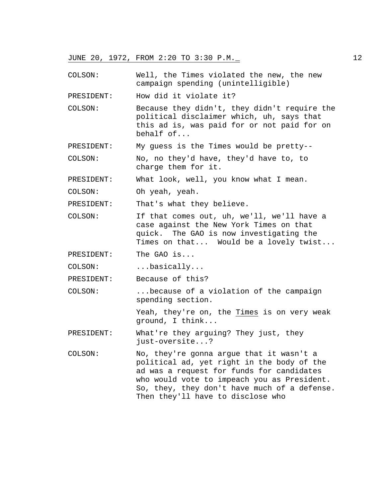COLSON: Well, the Times violated the new, the new campaign spending (unintelligible)

PRESIDENT: How did it violate it?

COLSON: Because they didn't, they didn't require the political disclaimer which, uh, says that this ad is, was paid for or not paid for on behalf of...

PRESIDENT: My guess is the Times would be pretty--

COLSON: No, no they'd have, they'd have to, to charge them for it.

PRESIDENT: What look, well, you know what I mean.

COLSON: Oh yeah, yeah.

PRESIDENT: That's what they believe.

- COLSON: If that comes out, uh, we'll, we'll have a case against the New York Times on that quick. The GAO is now investigating the Times on that... Would be a lovely twist...
- PRESIDENT: The GAO is...
- COLSON: ...basically...

PRESIDENT: Because of this?

COLSON: ...because of a violation of the campaign spending section.

> Yeah, they're on, the Times is on very weak ground, I think...

PRESIDENT: What're they arguing? They just, they just-oversite...?

COLSON: No, they're gonna argue that it wasn't a political ad, yet right in the body of the ad was a request for funds for candidates who would vote to impeach you as President. So, they, they don't have much of a defense. Then they'll have to disclose who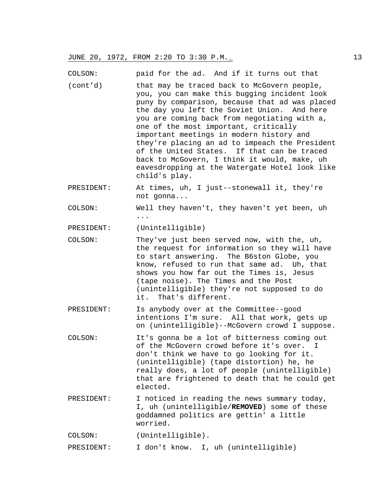COLSON: paid for the ad. And if it turns out that

- (cont'd) that may be traced back to McGovern people, you, you can make this bugging incident look puny by comparison, because that ad was placed the day you left the Soviet Union. And here you are coming back from negotiating with a, one of the most important, critically important meetings in modern history and they're placing an ad to impeach the President of the United States. If that can be traced back to McGovern, I think it would, make, uh eavesdropping at the Watergate Hotel look like child's play.
- PRESIDENT: At times, uh, I just--stonewall it, they're not gonna...
- COLSON: Well they haven't, they haven't yet been, uh ...

PRESIDENT: (Unintelligible)

- COLSON: They've just been served now, with the, uh, the request for information so they will have to start answering. The B6ston Globe, you know, refused to run that same ad. Uh, that shows you how far out the Times is, Jesus (tape noise). The Times and the Post (unintelligible) they're not supposed to do it. That's different.
- PRESIDENT: Is anybody over at the Committee--good intentions I'm sure. All that work, gets up on (unintelligible)--McGovern crowd I suppose.
- COLSON: It's gonna be a lot of bitterness coming out of the McGovern crowd before it's over. I don't think we have to go looking for it. (unintelligible) (tape distortion) he, he really does, a lot of people (unintelligible) that are frightened to death that he could get elected.
- PRESIDENT: I noticed in reading the news summary today, I, uh (unintelligible/**REMOVED**) some of these goddamned politics are gettin' a little worried.

COLSON: (Unintelligible).

PRESIDENT: I don't know. I, uh (unintelligible)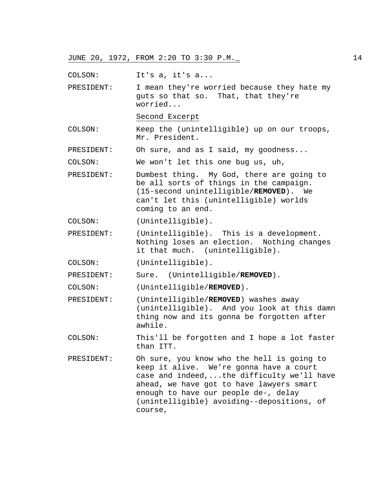COLSON: It's a, it's a...

PRESIDENT: I mean they're worried because they hate my guts so that so. That, that they're worried...

## Second Excerpt

COLSON: Keep the (unintelligible) up on our troops, Mr. President.

PRESIDENT: Oh sure, and as I said, my goodness...

COLSON: We won't let this one bug us, uh,

PRESIDENT: Dumbest thing. My God, there are going to be all sorts of things in the campaign. (15-second unintelligible/**REMOVED**). We can't let this (unintelligible) worlds coming to an end.

COLSON: (Unintelligible).

- PRESIDENT: (Unintelligible). This is a development. Nothing loses an election. Nothing changes it that much. (unintelligible).
- COLSON: (Unintelligible).

PRESIDENT: Sure. (Unintelligible/**REMOVED**).

COLSON: (Unintelligible/**REMOVED**).

PRESIDENT: (Unintelligible/**REMOVED**) washes away (unintelligible). And you look at this damn thing now and its gonna be forgotten after awhile.

COLSON: This'll be forgotten and I hope a lot faster than ITT.

PRESIDENT: Oh sure, you know who the hell is going to keep it alive. We're gonna have a court case and indeed,...the difficulty we'll have ahead, we have got to have lawyers smart enough to have our people de-, delay (unintelligible) avoiding--depositions, of course,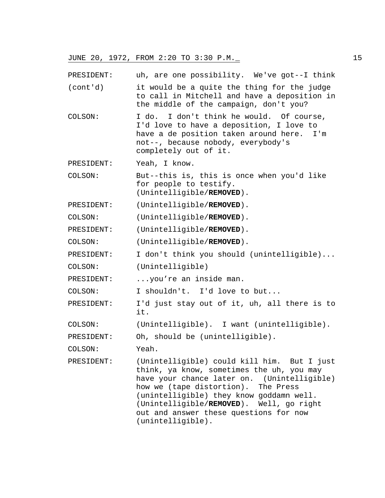PRESIDENT: uh, are one possibility. We've got--I think (cont'd) it would be a quite the thing for the judge to call in Mitchell and have a deposition in the middle of the campaign, don't you? COLSON: I do. I don't think he would. Of course, I'd love to have a deposition, I love to have a de position taken around here. I'm not--, because nobody, everybody's completely out of it. PRESIDENT: Yeah, I know. COLSON: But--this is, this is once when you'd like for people to testify. (Unintelligible/**REMOVED**). PRESIDENT: (Unintelligible/**REMOVED**). COLSON: (Unintelligible/**REMOVED**). PRESIDENT: (Unintelligible/**REMOVED**). COLSON: (Unintelligible/**REMOVED**). PRESIDENT: I don't think you should (unintelligible)... COLSON: (Unintelligible) PRESIDENT: ... you're an inside man. COLSON: I shouldn't. I'd love to but... PRESIDENT: I'd just stay out of it, uh, all there is to it. COLSON: (Unintelligible). I want (unintelligible). PRESIDENT: Oh, should be (unintelligible). COLSON: Yeah. PRESIDENT: (Unintelligible) could kill him. But I just think, ya know, sometimes the uh, you may have your chance later on. (Unintelligible) how we (tape distortion). The Press (unintelligible) they know goddamn well. (Unintelligible/**REMOVED**). Well, go right out and answer these questions for now (unintelligible).